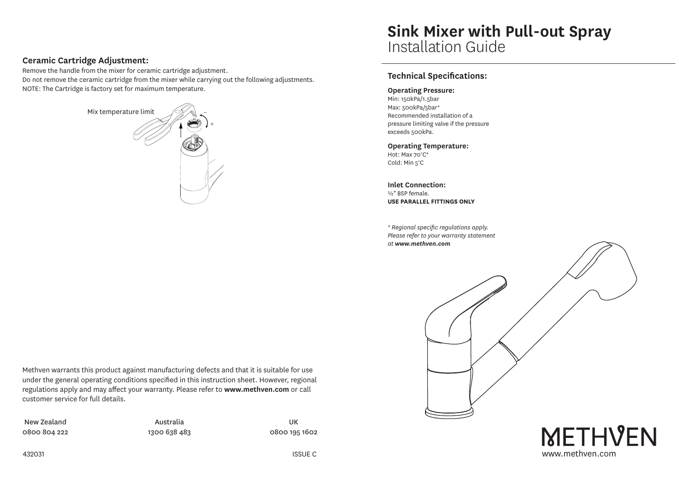## **Ceramic Cartridge Adjustment:**

Remove the handle from the mixer for ceramic cartridge adjustment. Do not remove the ceramic cartridge from the mixer while carrying out the following adjustments. NOTE: The Cartridge is factory set for maximum temperature.



# **Sink Mixer with Pull-out Spray** Installation Guide

## **Technical Specifications:**

#### **Operating Pressure:**

Min: 150kPa/1.5bar Max: 500kPa/5bar\* Recommended installation of a pressure limiting valve if the pressure exceeds 500kPa.

**Operating Temperature:** Hot: Max 70°C\*

Cold: Min 5°C

**Inlet Connection:** ½" BSP female. **USE PARALLEL FITTINGS ONLY**

*\* Regional specific regulations apply. Please refer to your warranty statement at www.methven.com*

Methven warrants this product against manufacturing defects and that it is suitable for use under the general operating conditions specified in this instruction sheet. However, regional regulations apply and may affect your warranty. Please refer to **www.methven.com** or call customer service for full details.

New Zealand 0800 804 222

Australia 1300 638 483

UK 0800 195 1602